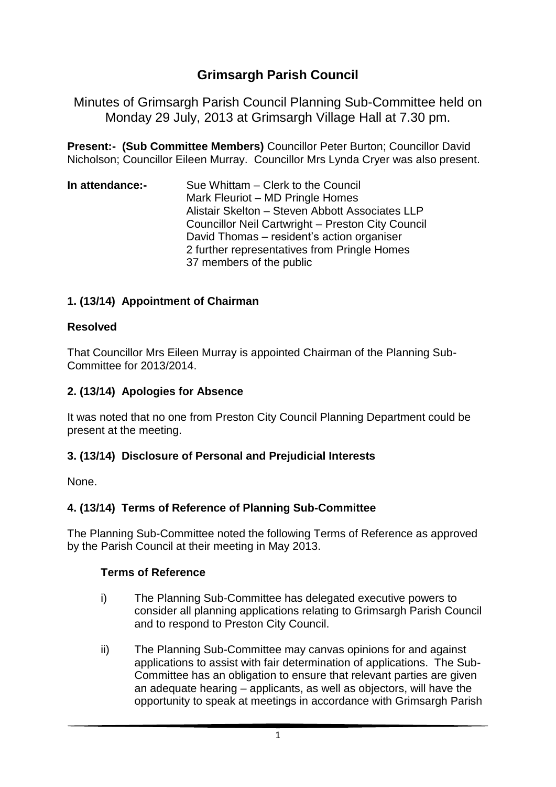# **Grimsargh Parish Council**

Minutes of Grimsargh Parish Council Planning Sub-Committee held on Monday 29 July, 2013 at Grimsargh Village Hall at 7.30 pm.

**Present:- (Sub Committee Members)** Councillor Peter Burton; Councillor David Nicholson; Councillor Eileen Murray. Councillor Mrs Lynda Cryer was also present.

**In attendance:-** Sue Whittam – Clerk to the Council Mark Fleuriot – MD Pringle Homes Alistair Skelton – Steven Abbott Associates LLP Councillor Neil Cartwright – Preston City Council David Thomas – resident's action organiser 2 further representatives from Pringle Homes 37 members of the public

# **1. (13/14) Appointment of Chairman**

#### **Resolved**

That Councillor Mrs Eileen Murray is appointed Chairman of the Planning Sub-Committee for 2013/2014.

# **2. (13/14) Apologies for Absence**

It was noted that no one from Preston City Council Planning Department could be present at the meeting.

# **3. (13/14) Disclosure of Personal and Prejudicial Interests**

None.

# **4. (13/14) Terms of Reference of Planning Sub-Committee**

The Planning Sub-Committee noted the following Terms of Reference as approved by the Parish Council at their meeting in May 2013.

#### **Terms of Reference**

- i) The Planning Sub-Committee has delegated executive powers to consider all planning applications relating to Grimsargh Parish Council and to respond to Preston City Council.
- ii) The Planning Sub-Committee may canvas opinions for and against applications to assist with fair determination of applications. The Sub-Committee has an obligation to ensure that relevant parties are given an adequate hearing – applicants, as well as objectors, will have the opportunity to speak at meetings in accordance with Grimsargh Parish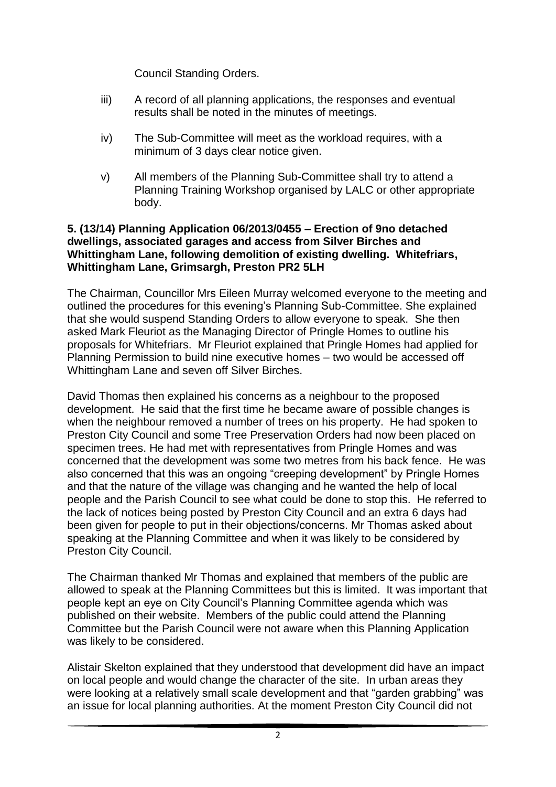Council Standing Orders.

- iii) A record of all planning applications, the responses and eventual results shall be noted in the minutes of meetings.
- iv) The Sub-Committee will meet as the workload requires, with a minimum of 3 days clear notice given.
- v) All members of the Planning Sub-Committee shall try to attend a Planning Training Workshop organised by LALC or other appropriate body.

#### **5. (13/14) Planning Application 06/2013/0455 – Erection of 9no detached dwellings, associated garages and access from Silver Birches and Whittingham Lane, following demolition of existing dwelling. Whitefriars, Whittingham Lane, Grimsargh, Preston PR2 5LH**

The Chairman, Councillor Mrs Eileen Murray welcomed everyone to the meeting and outlined the procedures for this evening's Planning Sub-Committee. She explained that she would suspend Standing Orders to allow everyone to speak. She then asked Mark Fleuriot as the Managing Director of Pringle Homes to outline his proposals for Whitefriars. Mr Fleuriot explained that Pringle Homes had applied for Planning Permission to build nine executive homes – two would be accessed off Whittingham Lane and seven off Silver Birches.

David Thomas then explained his concerns as a neighbour to the proposed development. He said that the first time he became aware of possible changes is when the neighbour removed a number of trees on his property. He had spoken to Preston City Council and some Tree Preservation Orders had now been placed on specimen trees. He had met with representatives from Pringle Homes and was concerned that the development was some two metres from his back fence. He was also concerned that this was an ongoing "creeping development" by Pringle Homes and that the nature of the village was changing and he wanted the help of local people and the Parish Council to see what could be done to stop this. He referred to the lack of notices being posted by Preston City Council and an extra 6 days had been given for people to put in their objections/concerns. Mr Thomas asked about speaking at the Planning Committee and when it was likely to be considered by Preston City Council.

The Chairman thanked Mr Thomas and explained that members of the public are allowed to speak at the Planning Committees but this is limited. It was important that people kept an eye on City Council's Planning Committee agenda which was published on their website. Members of the public could attend the Planning Committee but the Parish Council were not aware when this Planning Application was likely to be considered.

Alistair Skelton explained that they understood that development did have an impact on local people and would change the character of the site. In urban areas they were looking at a relatively small scale development and that "garden grabbing" was an issue for local planning authorities. At the moment Preston City Council did not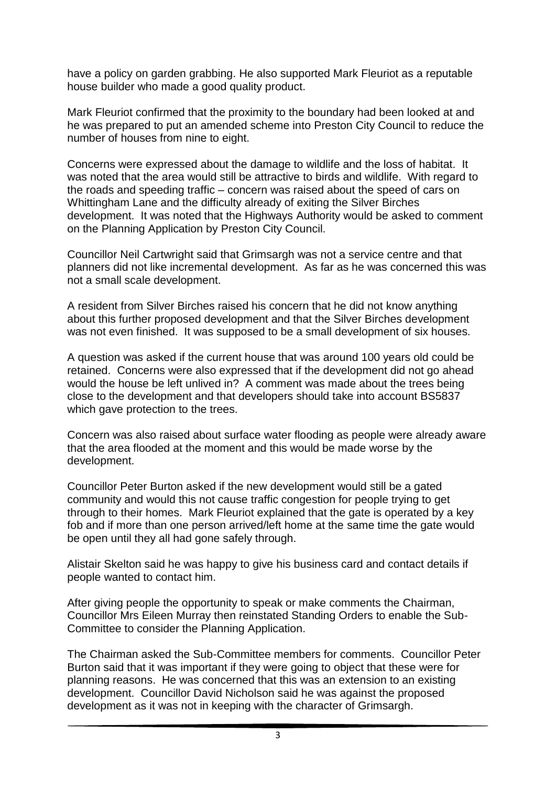have a policy on garden grabbing. He also supported Mark Fleuriot as a reputable house builder who made a good quality product.

Mark Fleuriot confirmed that the proximity to the boundary had been looked at and he was prepared to put an amended scheme into Preston City Council to reduce the number of houses from nine to eight.

Concerns were expressed about the damage to wildlife and the loss of habitat. It was noted that the area would still be attractive to birds and wildlife. With regard to the roads and speeding traffic – concern was raised about the speed of cars on Whittingham Lane and the difficulty already of exiting the Silver Birches development. It was noted that the Highways Authority would be asked to comment on the Planning Application by Preston City Council.

Councillor Neil Cartwright said that Grimsargh was not a service centre and that planners did not like incremental development. As far as he was concerned this was not a small scale development.

A resident from Silver Birches raised his concern that he did not know anything about this further proposed development and that the Silver Birches development was not even finished. It was supposed to be a small development of six houses.

A question was asked if the current house that was around 100 years old could be retained. Concerns were also expressed that if the development did not go ahead would the house be left unlived in? A comment was made about the trees being close to the development and that developers should take into account BS5837 which gave protection to the trees.

Concern was also raised about surface water flooding as people were already aware that the area flooded at the moment and this would be made worse by the development.

Councillor Peter Burton asked if the new development would still be a gated community and would this not cause traffic congestion for people trying to get through to their homes. Mark Fleuriot explained that the gate is operated by a key fob and if more than one person arrived/left home at the same time the gate would be open until they all had gone safely through.

Alistair Skelton said he was happy to give his business card and contact details if people wanted to contact him.

After giving people the opportunity to speak or make comments the Chairman, Councillor Mrs Eileen Murray then reinstated Standing Orders to enable the Sub-Committee to consider the Planning Application.

The Chairman asked the Sub-Committee members for comments. Councillor Peter Burton said that it was important if they were going to object that these were for planning reasons. He was concerned that this was an extension to an existing development. Councillor David Nicholson said he was against the proposed development as it was not in keeping with the character of Grimsargh.